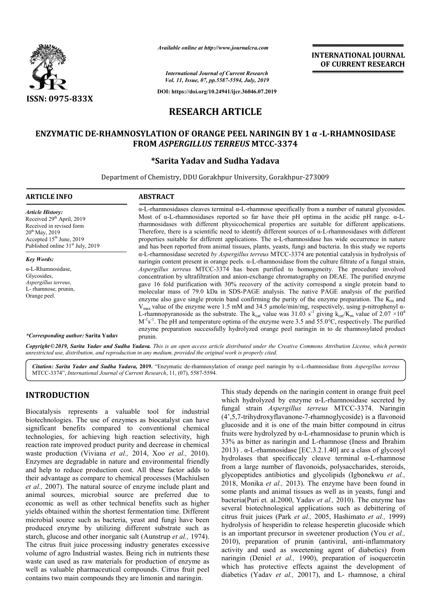

*Available online at http://www.journalcra.com*

*International Journal of Current Research Vol. 11, Issue, 07, pp.5587-5594, July, 2019* **INTERNATIONAL JOURNAL OF CURRENT RESEARCH**

**DOI: https://doi.org/10.24941/ijcr.36046.07.2019**

# **RESEARCH ARTICLE**

## **ENZYMATIC DE-RHAMNOSYLATION OF ORANGE PEEL NARINGIN BY 1 α -L-RHAMNOSIDASE FROM**  *ASPERGILLUS TERREUS* **MTCC-3374**

## **\*Sarita Yadav and Sudha Yadava**

Department of Chemistry, DDU Gorakhpur University, Gorakhpur Gorakhpur-273009 273009

| <b>ARTICLE INFO</b>                                                                                                                                                                               | <b>ABSTRACT</b>                                                                                                                                                                                                                                                                                                                                                                                                                                                                                                                                                                                                                                                                                                                                                                                                                                                                                                                                                                                                                                                                                                                                                                                                                                                                                                                                                                                                                                                                                                                                                                                                                                                                                                                                                                                                                                                                                                                          |
|---------------------------------------------------------------------------------------------------------------------------------------------------------------------------------------------------|------------------------------------------------------------------------------------------------------------------------------------------------------------------------------------------------------------------------------------------------------------------------------------------------------------------------------------------------------------------------------------------------------------------------------------------------------------------------------------------------------------------------------------------------------------------------------------------------------------------------------------------------------------------------------------------------------------------------------------------------------------------------------------------------------------------------------------------------------------------------------------------------------------------------------------------------------------------------------------------------------------------------------------------------------------------------------------------------------------------------------------------------------------------------------------------------------------------------------------------------------------------------------------------------------------------------------------------------------------------------------------------------------------------------------------------------------------------------------------------------------------------------------------------------------------------------------------------------------------------------------------------------------------------------------------------------------------------------------------------------------------------------------------------------------------------------------------------------------------------------------------------------------------------------------------------|
| <b>Article History:</b><br>Received 29 <sup>th</sup> April, 2019<br>Received in revised form<br>$20^{th}$ May, 2019<br>Accepted $15th$ June, 2019<br>Published online 31 <sup>st</sup> July, 2019 | $\alpha$ -L-rhamnosidases cleaves terminal $\alpha$ -L-rhamnose specifically from a number of natural glycosides.<br>Most of $\alpha$ -L-rhamnosidases reported so far have their pH optima in the acidic pH range. $\alpha$ -L-<br>rhamnosidases with different physicochemical properties are suitable for different applications.<br>Therefore, there is a scientific need to identify different sources of $\alpha$ -L-rhamnosidases with different<br>properties suitable for different applications. The $\alpha$ -L-rhamnosidase has wide occurrence in nature<br>and has been reported from animal tissues, plants, yeasts, fungi and bacteria. In this study we reports<br>$\alpha$ -L-rhamnosidase secreted by Aspergillus terreus MTCC-3374 are potential catalysis in hydrolysis of<br>naringin content present in orange peels. α-L-rhamnosidase from the culture filtrate of a fungal strain,<br>Aspergillus terreus MTCC-3374 has been purified to homogeneity. The procedure involved<br>concentration by ultrafiltration and anion-exchange chromatography on DEAE. The purified enzyme<br>gave 16 fold purification with 30% recovery of the activity correspond a single protein band to<br>molecular mass of 79.0 kDa in SDS-PAGE analysis. The native PAGE analysis of the purified<br>enzyme also gave single protein band confirming the purity of the enzyme preparation. The $K_m$ and<br>$V_{\text{max}}$ value of the enzyme were 1.5 mM and 34.5 µmole/min/mg, respectively, using p-nitrophenyl $\alpha$ -<br>L-rhamnopyranoside as the substrate. The k <sub>cat</sub> value was 31.03 s <sup>-1</sup> giving k <sub>cat</sub> /K <sub>m</sub> value of 2.07 ×10 <sup>4</sup><br>$M^{-1}s^{-1}$ . The pH and temperature optima of the enzyme were 3.5 and 55.0°C, respectively. The purified<br>enzyme preparation successfully hydrolyzed orange peel naringin in to de rhamnosylated product<br>prunin. |
| <b>Key Words:</b><br>$\alpha$ -L-Rhamnosidase,<br>Glycosides,<br>Aspergillus terreus,<br>L- rhamnose, prunin,<br>Orange peel.<br><i>*Corresponding author:</i> Sarita Yadav                       |                                                                                                                                                                                                                                                                                                                                                                                                                                                                                                                                                                                                                                                                                                                                                                                                                                                                                                                                                                                                                                                                                                                                                                                                                                                                                                                                                                                                                                                                                                                                                                                                                                                                                                                                                                                                                                                                                                                                          |

*Copyright©2019, Sarita Yadav and Sudha Yadava. This unrestricted use, distribution, and reproduction in any medium, provided the original work is properly cited. is an open access article distributed under the Creative Commons Attribution License, which permits*

Citation: Sarita Yadav and Sudha Yadava, 2019. "Enzymatic de-rhamnosylation of orange peel naringin by α-L-rhamnosidase from Aspergillus terreus MTCC-3374", *International Journal of Current Research* , 11, (07), 5587-5594.

## **INTRODUCTION**

Biocatalysis represents a valuable tool for industrial biotechnologies. The use of enzymes as biocatalyst can have significant benefits compared to conventional chemical technologies, for achieving high reaction selectivity, high reaction rate improved product purity and decrease in chemical waste production (Viviana *et al.,* 2014, Xoo *et al.,* 2010). Enzymes are degradable in nature and environmental friendly and help to reduce production cost. All these factor adds to their advantage as compare to chemical processes (Machiulsen *et al.,* 2007). The natural source of enzyme include plant and animal sources, microbial source are preferred due to economic as well as other technical benefits such as higher yields obtained within the shortest fermentation time. Different microbial source such as bacteria, yeast and fungi have been produced enzyme by utilizing different substrate such as and help to reduce production cost. All these factor adds to their advantage as compare to chemical processes (Machiulsen *et al.*, 2007). The natural source of enzyme include plant and animal sources, microbial source are The citrus fruit juice processing industry generates excessive volume of agro Industrial wastes. Being rich in nutrients these waste can used as raw materials for production of enzyme as well as valuable pharmaceutical compounds. Citrus fruit peel contains two main compounds they are limonin and naringin.

This study depends on the naringin content in orange fruit peel This study depends on the naringin content in orange fruit peel which hydrolyzed by enzyme  $\alpha$ -L-rhamnosidase secreted by fungal strain *Aspergillus terreus* MTCC-3374. Naringin (4',5,7-trihydroxyflavanone-7-rhamnoglycoside) is a flavonoid glucoside and it is one of the main bitter compound in citrus fruits were hydrolyzed by α-L-rhamnosidase to prunin which is 33% as bitter as naringin and L-rhamnose (Iness and Ibrahim 2013) .  $\alpha$ -L-rhamnosidase [EC.3.2.1.40] are a class of glycosyl 2013).  $\alpha$ -L-rhamnosidase [EC.3.2.1.40] are a class of glycosyl hydrolases that specificcaly cleave terminal  $\alpha$ -L-rhamnose from a large number of flavonoids, polysaccharides, steroids, glycopeptides antibiotics and glycolipids (Igbonekwu *et al.,*  2018, Monika *et al.,* 2013). The enzyme have been found in some plants and animal tissues as well as in yeasts, fungi and 2018, Monika *et al.*, 2013). The enzyme have been found in some plants and animal tissues as well as in yeasts, fungi and bacteria(Puri et. al.2000, Yadav *et al.*, 2010). The enzyme has several biotechnological applications such as debittering of citrus fruit juices (Park *et al.,*  2005, Hashimato *et al.,* 1999) hydrolysis of hesperidin to release hesperetin glucoside which is an important precursor in sweetener production (You *et al.,*  2010), preparation of prunin (antiviral, anti-inflammatory activity and used as sweetening agent of di diabetics) from naringin (Deniel *et al.,* 1990), preparation of isoquercetin which has protective effects against the development of diabetics (Yadav et al., 20017), and L- rhamnose, a chiral rhamnoglycoside) is a flavonoid<br>main bitter compound in citrus<br>rhamnosidase to prunin which is<br>L-rhamnose (Iness and Ibrahim 1 (Deniel *et al.*, 1990), preparation of isoquercetin has protective effects against the development of s (Yadav *et al.*, 20017), and L- rhamnose, a chiral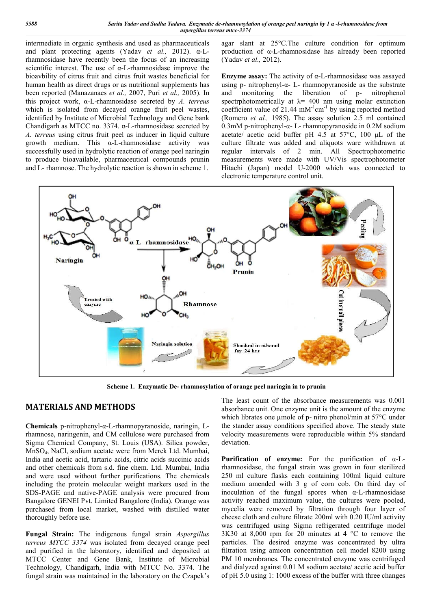intermediate in organic synthesis and used as pharmaceuticals and plant protecting agents (Yadav *et al.,* 2012). α-Lrhamnosidase have recently been the focus of an increasing scientific interest. The use of  $\alpha$ -L-rhamnosidase improve the bioavbility of citrus fruit and citrus fruit wastes beneficial for human health as direct drugs or as nutritional supplements has been reported (Manazanaes *et al.,* 2007, Puri *et al.,* 2005). In this project work, α-L-rhamnosidase secreted by *A. terreus* which is isolated from decayed orange fruit peel wastes, identified by Institute of Microbial Technology and Gene bank Chandigarh as MTCC no. 3374. α-L-rhamnosidase secreted by *A. terreus* using citrus fruit peel as inducer in liquid culture growth medium. This  $\alpha$ -L-rhamnosidase activity was successfully used in hydrolytic reaction of orange peel naringin to produce bioavailable, pharmaceutical compounds prunin and L- rhamnose. The hydrolytic reaction is shown in scheme 1.

agar slant at 25°C.The culture condition for optimum production of α-L-rhamnosidase has already been reported (Yadav *et al.,* 2012).

**Enzyme assay:** The activity of α-L-rhamnosidase was assayed using p- nitrophenyl- $\alpha$ - L- rhamnopyranoside as the substrate and monitoring the liberation of p- nitrophenol spectrphotometrically at  $\lambda$  = 400 nm using molar extinction coefficient value of  $21.44 \text{ mM}^{-1} \text{cm}^{-1}$  by using reported method (Romero *et al.,* 1985). The assay solution 2.5 ml contained 0.3mM p-nitrophenyl-α- L- rhamnopyranoside in 0.2M sodium acetate/ acetic acid buffer pH 4.5 at 57°C, 100 μL of the culture filtrate was added and aliquots ware withdrawn at regular intervals of 2 min. All Spectrophotometric measurements were made with UV/Vis spectrophotometer Hitachi (Japan) model U-2000 which was connected to electronic temperature control unit.



**Scheme 1. Enzymatic De- rhamnosylation of orange peel naringin in to prunin**

### **MATERIALS AND METHODS**

**Chemicals** p-nitrophenyl-α-L-rhamnopyranoside, naringin, Lrhamnose, naringenin, and CM cellulose were purchased from Sigma Chemical Company, St. Louis (USA). Silica powder, MnSO4, NaCl, sodium acetate were from Merck Ltd. Mumbai, India and acetic acid, tartaric acids, citric acids succinic acids and other chemicals from s.d. fine chem. Ltd. Mumbai, India and were used without further purifications. The chemicals including the protein molecular weight markers used in the SDS-PAGE and native-PAGE analysis were procured from Bangalore GENEI Pvt. Limited Bangalore (India). Orange was purchased from local market, washed with distilled water thoroughly before use.

**Fungal Strain:** The indigenous fungal strain *Aspergillus terreus MTCC 3374* was isolated from decayed orange peel and purified in the laboratory, identified and deposited at MTCC Center and Gene Bank, Institute of Microbial Technology, Chandigarh, India with MTCC No. 3374. The fungal strain was maintained in the laboratory on the Czapek's The least count of the absorbance measurements was 0.001 absorbance unit. One enzyme unit is the amount of the enzyme which librates one µmole of p- nitro phenol/min at 57°C under the stander assay conditions specified above. The steady state velocity measurements were reproducible within 5% standard deviation.

**Purification of enzyme:** For the purification of α-Lrhamnosidase, the fungal strain was grown in four sterilized 250 ml culture flasks each containing 100ml liquid culture medium amended with 3 g of corn cob. On third day of inoculation of the fungal spores when α-L-rhamnosidase activity reached maximum value, the cultures were pooled, mycelia were removed by filtration through four layer of cheese cloth and culture filtrate 200ml with 0.20 IU/ml activity was centrifuged using Sigma refrigerated centrifuge model 3K30 at 8,000 rpm for 20 minutes at 4 °C to remove the particles. The desired enzyme was concentrated by ultra filtration using amicon concentration cell model 8200 using PM 10 membranes. The concentrated enzyme was centrifuged and dialyzed against 0.01 M sodium acetate/ acetic acid buffer of pH 5.0 using 1: 1000 excess of the buffer with three changes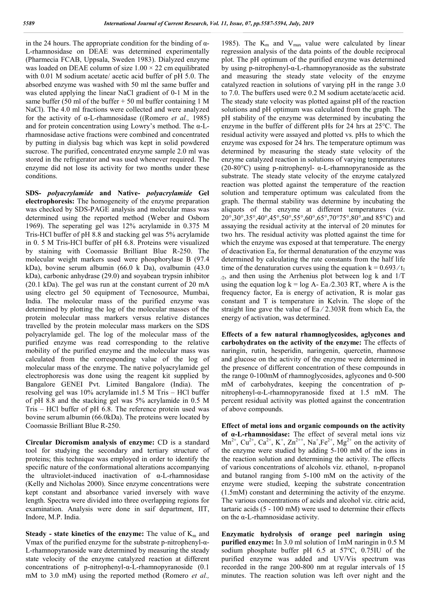in the 24 hours. The appropriate condition for the binding of  $\alpha$ -L-rhamnosidase on DEAE was determined experimentally (Pharmecia FCAB, Uppsala, Sweden 1983). Dialyzed enzyme was loaded on DEAE column of size  $1.00 \times 22$  cm equilibrated with 0.01 M sodium acetate/ acetic acid buffer of pH 5.0. The absorbed enzyme was washed with 50 ml the same buffer and was eluted applying the linear NaCl gradient of 0-1 M in the same buffer (50 ml of the buffer  $+ 50$  ml buffer containing 1 M NaCl). The 4.0 ml fractions were collected and were analyzed for the activity of α-L-rhamnosidase ((Romero *et al.,* 1985) and for protein concentration using Lowry's method. The α-Lrhamnosidase active fractions were combined and concentrated by putting in dialysis bag which was kept in solid powdered sucrose. The purified, concentrated enzyme sample 2.0 ml was stored in the refrigerator and was used whenever required. The enzyme did not lose its activity for two months under these conditions.

**SDS-** *polyacrylamide* **and Native-** *polyacrylamide* **Gel electrophoresis:** The homogeneity of the enzyme preparation was checked by SDS-PAGE analysis and molecular mass was determined using the reported method (Weber and Osborn 1969). The seperating gel was 12% acrylamide in 0.375 M Tris-HCl buffer of pH 8.8 and stacking gel was 5% acrylamide in 0. 5 M Tris-HCl buffer of pH 6.8. Proteins were visualized by staining with Coomassie Brilliant Blue R-250. The molecular weight markers used were phosphorylase B (97.4 kDa), bovine serum albumin (66.0 k Da), ovalbumin (43.0 kDa), carbonic anhydrase (29.0) and soyabean trypsin inhibitor (20.1 kDa). The gel was run at the constant current of 20 mA using electro gel 50 equipment of Tecnosource, Mumbai, India. The molecular mass of the purified enzyme was determined by plotting the log of the molecular masses of the protein molecular mass markers versus relative distances travelled by the protein molecular mass markers on the SDS polyacrylamide gel. The log of the molecular mass of the purified enzyme was read corresponding to the relative mobility of the purified enzyme and the molecular mass was calculated from the corresponding value of the log of molecular mass of the enzyme. The native polyacrylamide gel electrophoresis was done using the reagent kit supplied by Bangalore GENEI Pvt. Limited Bangalore (India). The resolving gel was 10% acrylamide in1.5 M Tris – HCl buffer of pH 8.8 and the stacking gel was 5% acrylamide in 0.5 M Tris – HCl buffer of pH 6.8. The reference protein used was bovine serum albumin (66.0kDa). The proteins were located by Coomassie Brilliant Blue R-250.

**Circular Dicromism analysis of enzyme:** CD is a standard tool for studying the secondary and tertiary structure of proteins; this technique was employed in order to identify the specific nature of the conformational alterations accompanying the ultraviolet-induced inactivation of α-L-rhamnosidase (Kelly and Nicholas 2000). Since enzyme concentrations were kept constant and absorbance varied inversely with wave length. Spectra were divided into three overlapping regions for examination. Analysis were done in saif department, IIT, Indore, M.P. India.

**Steady - state kinetics of the enzyme:** The value of  $K_m$  and Vmax of the purified enzyme for the substrate p-nitrophenyl-α-L-rhamnopyranoside ware determined by measuring the steady state velocity of the enzyme catalyzed reaction at different concentrations of p-nitrophenyl-α-L-rhamnopyranoside (0.1 mM to 3.0 mM) using the reported method (Romero *et al.,* 

1985). The  $K_m$  and  $V_{max}$  value were calculated by linear regression analysis of the data points of the double reciprocal plot. The pH optimum of the purified enzyme was determined by using p-nitrophenyl-α-L-rhamnopyranoside as the substrate and measuring the steady state velocity of the enzyme catalyzed reaction in solutions of varying pH in the range 3.0 to 7.0. The buffers used were 0.2 M sodium acetate/acetic acid. The steady state velocity was plotted against pH of the reaction solutions and pH optimum was calculated from the graph. The pH stability of the enzyme was determined by incubating the enzyme in the buffer of different pHs for 24 hrs at 25°C. The residual activity were assayed and plotted vs. pHs to which the enzyme was exposed for 24 hrs. The temperature optimum was determined by measuring the steady state velocity of the enzyme catalyzed reaction in solutions of varying temperatures (20-80 $^{\circ}$ C) using p-nitrophenyl-  $\alpha$ -L-rhamnopyranoside as the substrate. The steady state velocity of the enzyme catalyzed reaction was plotted against the temperature of the reaction solution and temperature optimum was calculated from the graph. The thermal stability was determine by incubating the aliquots of the enzyme at different temperatures (viz. 20°,30°,35°,40°,45°,50°,55°,60°,65°,70°75°,80°,and 85°C) and assaying the residual activity at the interval of 20 minutes for two hrs. The residual activity was plotted against the time for which the enzyme was exposed at that temperature. The energy of deactivation Ea, for thermal denaturation of the enzyme was determined by calculating the rate constants from the half life time of the denaturation curves using the equation  $k = 0.693/t_1$  $\alpha$ , and then using the Arrhenius plot between log k and 1/T using the equation  $log k = log A - Eq. 2.303 RT$ , where A is the frequency factor, Ea is energy of activation, R is molar gas constant and T is temperature in Kelvin. The slope of the straight line gave the value of Ea ⁄ 2.303R from which Ea, the energy of activation, was determined.

**Effects of a few natural rhamnoglycosides, aglycones and carbohydrates on the activity of the enzyme:** The effects of naringin, rutin, hesperidin, naringenin, quercetin, rhamnose and glucose on the activity of the enzyme were determined in the presence of different concentration of these compounds in the range 0-100mM of rhamnoglycosides, aglycones and 0-500 mM of carbohydrates, keeping the concentration of pnitrophenyl-α-L-rhamnopyranoside fixed at 1.5 mM. The percent residual activity was plotted against the concentration of above compounds.

**Effect of metal ions and organic compounds on the activity of α-L-rhamnosidase:** The effect of several metal ions viz  $Mn^{2+}$ ,  $Cu^{2+}$ ,  $Ca^{2+}$ ,  $K^+$ ,  $Zn^{2++}$ ,  $Na^+$ ,  $Fe^{2+}$ ,  $Mg^{2+}$  on the activity of the enzyme were studied by adding 5-100 mM of the ions in the reaction solution and determining the activity. The effects of various concentrations of alcohols viz. ethanol, n-propanol and butanol ranging from 5-100 mM on the activity of the enzyme were studied, keeping the substrate concentration (1.5mM) constant and determining the activity of the enzyme. The various concentrations of acids and alcohol viz. citric acid, tartaric acids (5 - 100 mM) were used to determine their effects on the α-L-rhamnosidase activity.

**Enzymatic hydrolysis of orange peel naringin using purified enzyme:** In 3.0 ml solution of 1mM naringin in 0.5 M sodium phosphate buffer pH 6.5 at 57°C, 0.75IU of the purified enzyme was added and UV/Vis spectrum was recorded in the range 200-800 nm at regular intervals of 15 minutes. The reaction solution was left over night and the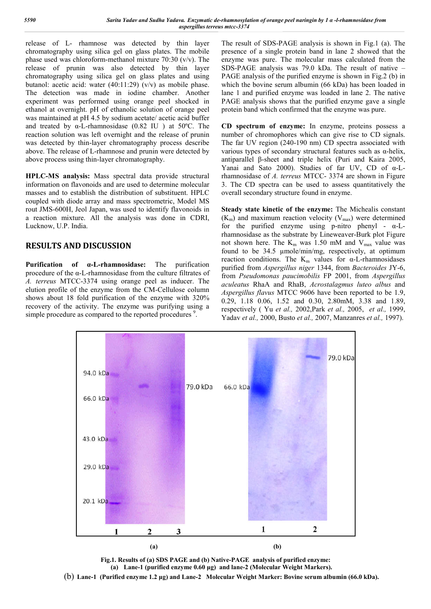release of L- rhamnose was detected by thin layer chromatography using silica gel on glass plates. The mobile phase used was chloroform-methanol mixture 70:30 (v/v). The release of prunin was also detected by thin layer chromatography using silica gel on glass plates and using butanol: acetic acid: water (40:11:29) (v/v) as mobile phase. The detection was made in iodine chamber. Another experiment was performed using orange peel shocked in ethanol at overnight. pH of ethanolic solution of orange peel was maintained at pH 4.5 by sodium acetate/ acetic acid buffer and treated by α-L-rhamnosidase (0.82 IU ) at 50ºC. The reaction solution was left overnight and the release of prunin was detected by thin-layer chromatography process describe above. The release of L-rhamnose and prunin were detected by above process using thin-layer chromatography.

**HPLC-MS analysis:** Mass spectral data provide structural information on flavonoids and are used to determine molecular masses and to establish the distribution of substituent. HPLC coupled with diode array and mass spectrometric, Model MS rout JMS-600H, Jeol Japan, was used to identify flavonoids in a reaction mixture. All the analysis was done in CDRI, Lucknow, U.P. India.

## **RESULTS AND DISCUSSION**

**Purification of α-L-rhamnosidase:** The purification procedure of the α-L-rhamnosidase from the culture filtrates of *A. terreus* MTCC-3374 using orange peel as inducer. The elution profile of the enzyme from the CM-Cellulose column shows about 18 fold purification of the enzyme with 320% recovery of the activity. The enzyme was purifying using a simple procedure as compared to the reported procedures<sup>9</sup>.

The result of SDS-PAGE analysis is shown in Fig.1 (a). The presence of a single protein band in lane 2 showed that the enzyme was pure. The molecular mass calculated from the SDS-PAGE analysis was 79.0 kDa. The result of native – PAGE analysis of the purified enzyme is shown in Fig.2 (b) in which the bovine serum albumin (66 kDa) has been loaded in lane 1 and purified enzyme was loaded in lane 2. The native PAGE analysis shows that the purified enzyme gave a single protein band which confirmed that the enzyme was pure.

**CD spectrum of enzyme:** In enzyme, proteins possess a number of chromophores which can give rise to CD signals. The far UV region (240-190 nm) CD spectra associated with various types of secondary structural features such as α-helix, antiparallel β-sheet and triple helix (Puri and Kaira 2005, Yanai and Sato 2000). Studies of far UV, CD of α-Lrhamnosidase of *A. terreus* MTCC- 3374 are shown in Figure 3. The CD spectra can be used to assess quantitatively the overall secondary structure found in enzyme.

**Steady state kinetic of the enzyme:** The Michealis constant  $(K<sub>m</sub>)$  and maximum reaction velocity  $(V<sub>max</sub>)$  were determined for the purified enzyme using p-nitro phenyl -  $\alpha$ -Lrhamnosidase as the substrate by Lineweaver-Burk plot Figure not shown here. The  $K_m$  was 1.50 mM and  $V_{max}$  value was found to be 34.5 µmole/min/mg, respectively, at optimum reaction conditions. The K<sub>m</sub> values for  $\alpha$ -L-rhamnosidases purified from *Aspergillus niger* 1344, from *Bacteroides* JY-6, from *Pseudomonas paucimobilis* FP 2001, from *Aspergillus aculeatus* RhaA and RhaB, *Acrostalagmus luteo albus* and *Aspergillus flavus* MTCC 9606 have been reported to be 1.9, 0.29, 1.18 0.06, 1.52 and 0.30, 2.80mM, 3.38 and 1.89, respectively ( Yu *et al.,* 2002,Park *et al.,* 2005, *et al.,* 1999, Yadav *et al.,* 2000, Busto *et al.,* 2007, Manzanres *et al.,* 1997).



**Fig.1. Results of (a) SDS PAGE and (b) Native-PAGE analysis of purified enzyme: (a) Lane-1 (purified enzyme 0.60 μg) and lane-2 (Molecular Weight Markers).** (b) **Lane-1 (Purified enzyme 1.2 μg) and Lane-2 Molecular Weight Marker: Bovine serum albumin (66.0 kDa).**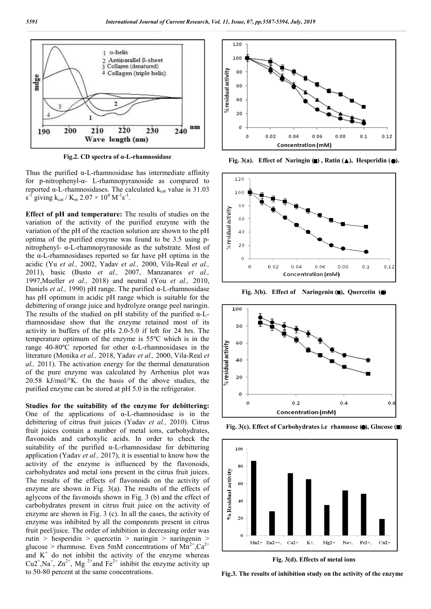

**Fig.2. CD spectra of α-L-rhamnosidase rhamnosidase**

Thus the purified  $\alpha$ -L-rhamnosidase has intermediate affinity Thus the purified α-L-rhamnosidase has intermediate affinity<br>for p-nitrophenyl-α- L-rhamnopyranoside as compared to reported  $\alpha$ -L-rhamnosidases. The calculated  $k_{cat}$  value is 31.03  $s^{-1}$  giving  $k_{cat}$  /  $K_m$  2.07  $\times$  10<sup>4</sup>  $M^{-1}s^{-1}$ .

**Effect of pH and temperature:** The results of studies on the variation of the activity of the purified enzyme with the variation of the pH of the reaction solution are shown to the pH optima of the purified enzyme was found to be 3.5 using p pnitrophenyl- α-L-rhamnopyranoside as the substrate. Most of the α-L-rhamnosidases reported so far have pH optima in the nitrophenyl- α-L-rhamnopyranoside as the substrate. Most of the α-L-rhamnosidases reported so far have pH optima in the acidic (Yu *et al.*, 2002, Yadav *et al.*, 2000, Vila-Real *et al.*, 2011), basic (Busto *et al.,* 2007, Manzanares *et al.,*  1997,Mueller *et al.,* 2018) and neutral (You *et al.,* 2010, Daniels *et al.,* 1990) pH range. The purified α α-L-rhamnosidase has pH optimum in acidic pH range which is suitable for the debittering of orange juice and hydrolyze orange peel naringin. The results of the studied on pH stability of the purified α α-Lrhamnosidase show that the enzyme retained most of its activity in buffers of the pHs 2.0-5.0 if left for 24 hrs. The temperature optimum of the enzyme is 55ºC which is in the range 40-80ºC reported for other α-L-rhamnosidases in the activity in buffers of the pHs 2.0-5.0 if left for 24 hrs. The<br>temperature optimum of the enzyme is 55<sup>o</sup>C which is in the<br>range 40-80<sup>o</sup>C reported for other  $\alpha$ -L-rhamnosidases in the<br>literature (Monika *et al.*, 2018, *al.,* 2011). The activation energy for the thermal denaturation of the pure enzyme was calculated by Arrhenius plot was  $20.58$  kJ/mol/ $\mathrm{K}$ . On the basis of the above studies, the purified enzyme can be stored at pH 5.0 in the refrigerator.

Studies for the suitability of the enzyme for debittering: One of the applications of  $\alpha$ -L-rhamnosidase is in the One of the applications of  $\alpha$ -L-rhamnosidase is in the debittering of citrus fruit juices (Yadav *et al.*, 2010). Citrus fruit juices contain a number of metal ions, carbohydrates, flavonoids and carboxylic acids. In order to check the suitability of the purified α-L-rhamnosidase for debittering suitability of the purified  $\alpha$ -L-rhamnosidase for debittering application (Yadav *et al.*, 2017), it is essential to know how the activity of the enzyme is influenced by the flavonoids, carbohydrates and metal ions present in the citrus fruit juices. The results of the effects of flavonoids on the activity of enzyme are shown in Fig. 3(a). The results of the effects of aglycons of the favonoids shown in Fig. 3 (b) and the effect of carbohydrates present in citrus fruit juice on the activity of enzyme are shown in Fig. 3 (c). In all the cases, the activity of enzyme was inhibited by all the components present in citrus fruit peel/juice. The order of inhibition in decreasing order was rutin > hesperidin > quercetin > naringin > naringenin > aglycons of the favonoids shown in Fig. 3 (b) and the effect of carbohydrates present in citrus fruit juice on the activity of enzyme are shown in Fig. 3 (c). In all the cases, the activity of enzyme was inhibited by all and  $K^+$  do not inhibit the activity of the enzyme whereas Cu2<sup>+</sup>,Na<sup>+</sup>, Zn<sup>2+</sup>, Mg<sup>2+</sup>and Fe<sup>2+</sup> inhibit the enzyme activity up to 50-80 percent at the same concentrations.



Fig. 3(a). Effect of Naringin  $(\blacksquare)$ , Rutin  $(\blacktriangle)$ , Hesperidin  $(\lozenge)$ .



Fig. 3(b). Effect of Naringenin ( $\blacksquare$ ), Quercetin ( $\spadesuit$ )



**Fig. 3(c). Effect of Carbohydrates i.e rhamnose (.), Glucose (.)** 



**Fig. 3(d). Effects of metal ions**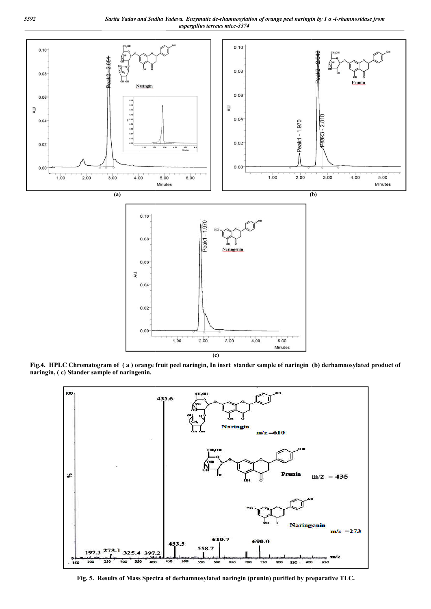

**Fig.4. HPLC Chromatogram of ( a ) orange fruit peel naringin, In inset stander sample of naringin (b) derhamnosylated product of naringin, ( c) Stander sample of naringenin.**



**Fig. 5. Results of Mass Spectra of derhamnosylated naringin (prunin) purified by preparative**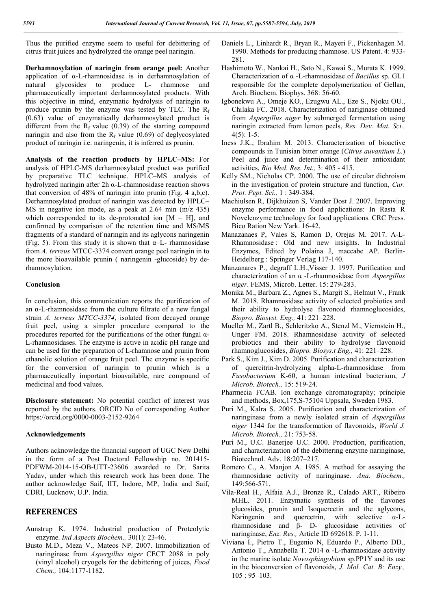Thus the purified enzyme seem to useful for debittering of citrus fruit juices and hydrolyzed the orange peel naringin.

**Derhamnosylation of naringin from orange peel:** Another application of α-L-rhamnosidase is in derhamnosylation of natural glycosides to produce L- rhamnose and pharmaceutically important derhamnosylated products. With this objective in mind, enzymatic hydrolysis of naringin to produce prunin by the enzyme was tested by TLC. The  $R_f$ (0.63) value of enzymatically derhamnosylated product is different from the  $R_f$  value (0.39) of the starting compound naringin and also from the  $R_f$  value (0.69) of deglycosylated product of naringin i.e. naringenin, it is inferred as prunin.

**Analysis of the reaction products by HPLC–MS:** For analysis of HPLC-MS derhamnosylated product was purified by preparative TLC technique. HPLC–MS analysis of hydrolyzed naringin after 2h α-L-rhamnosidase reaction shows that conversion of 48% of naringin into prunin (Fig. 4 a,b,c). Derhamnosylated product of naringin was detected by HPLC– MS in negative ion mode, as a peak at 2.64 min (m/z 435) which corresponded to its de-protonated ion  $[M - H]$ , and confirmed by comparison of the retention time and MS/MS fragments of a standard of naringin and its aglycons naringenin (Fig. 5). From this study it is shown that  $\alpha$ -L- rhamnosidase from *A. terreus* MTCC-3374 convert orange peel naringin in to the more bioavailable prunin ( naringenin -glucoside) by derhamnosylation.

#### **Conclusion**

In conclusion, this communication reports the purification of an α-L-rhamnosidase from the culture filtrate of a new fungal strain *A. terreus MTCC-3374*, isolated from decayed orange fruit peel, using a simpler procedure compared to the procedures reported for the purifications of the other fungal α-L-rhamnosidases. The enzyme is active in acidic pH range and can be used for the preparation of L-rhamnose and prunin from ethanolic solution of orange fruit peel. The enzyme is specific for the conversion of naringin to prunin which is a pharmaceutically important bioavailable, rare compound of medicinal and food values.

**Disclosure statement:** No potential conflict of interest was reported by the authors. ORCID No of corresponding Author https://orcid.org/0000-0003-2152-9264

#### **Acknowledgements**

Authors acknowledge the financial support of UGC New Delhi in the form of a Post Doctoral Fellowship no. 201415- PDFWM-2014-15-OB-UTT-23606 awarded to Dr. Sarita Yadav, under which this research work has been done. The author acknowledge Saif, IIT, Indore, MP, India and Saif, CDRI, Lucknow, U.P. India.

### **REFERENCES**

- Aunstrup K. 1974. Industrial production of Proteolytic enzyme. *Ind Aspects Biochem.,* 30(1): 23-46.
- Busto M.D., Meza V., Mateos NP. 2007. Immobilization of naringinase from *Aspergillus niger* CECT 2088 in poly (vinyl alcohol) cryogels for the debittering of juices, *Food Chem.,* 104:1177-1182.
- Daniels L., Linhardt R., Bryan R., Mayeri F., Pickenhagen M. 1990. Methods for producing rhamnose. US Patent. 4: 933- 281.
- Hashimoto W., Nankai H., Sato N., Kawai S., Murata K. 1999. Characterization of α -L-rhamnosidase of *Bacillus* sp. GL1 responsible for the complete depolymerization of Gellan, Arch. Biochem. Biophys. 368: 56-60.
- Igbonekwu A., Omeje KO., Ezugwu AL., Eze S., Njoku OU., Chilaka FC. 2018. Characterization of nariginase obtained from *Aspergillus niger* by submerged fermentation using naringin extracted from lemon peels, *Res. Dev. Mat. Sci.,*  $4(5): 1-5.$
- Iness J.K., Ibrahim M. 2013. Characterization of bioactive compounds in Tunisian bitter orange (*Citrus auvantium L*.) Peel and juice and determination of their antioxidant activities, *Bio Med. Res. Int.,* 3: 405 - 415.
- Kelly SM., Nicholas CP. 2000. The use of circular dichroism in the investigation of protein structure and function, *Cur. Prot. Pept. Sci.,* 1 : 349-384.
- Machiulsen R, Dijkhuizon S, Vander Dost J. 2007. Improving enzyme performance in food applications: In Rasta R Novelenzyme technology for food applications. CRC Press. Bico Ration New Yark. 16-42.
- Manazanaes P, Vales S, Ramon D, Orejas M. 2017. Α-L-Rhamnosidase : Old and new insights. In Industrial Enzymes, Edited by Polaina J, maccabe AP. Berlin-Heidelberg : Springer Verlag 117-140.
- Manzanares P., degraff L.H.,Visser J. 1997. Purification and characterization of an α -L-rhamnosidase from *Aspergillus niger*. FEMS, Microb. Letter. 15: 279-283.
- Monika M., Barbara Z., Agnes S., Margit S., Helmut V., Frank M. 2018. Rhamnosidase activity of selected probiotics and their ability to hydrolyse flavonoid rhamnoglucosides, *Biopro. Biosyst. Eng.,* 41: 221–228.
- Mueller M., Zartl B., Schleritzko A., Stenzl M., Viernstein H., Unger FM. 2018. Rhamnosidase activity of selected probiotics and their ability to hydrolyse flavonoid rhamnoglucosides, *Biopro. Biosys.t Eng.,* 41: 221–228.
- Park S., Kim J., Kim D. 2005. Purification and characterization of quercitrin-hydrolyzing alpha-L-rhamnosidase from *Fusobacterium* K-60, a human intestinal bacterium, *J Microb. Biotech.,* 15: 519-24.
- Pharmecia FCAB. Ion exchange chromatography; principle and methods, Box,175,S-75104 Uppsala, Sweden 1983.
- Puri M., Kalra S. 2005. Purification and characterization of naringinase from a newly isolated strain of *Aspergillus niger* 1344 for the transformation of flavonoids, *World J. Microb. Biotech.,* 21: 753-58.
- Puri M., U.C. Banerjee U.C. 2000. Production, purification, and characterization of the debittering enzyme naringinase, Biotechnol. Adv. 18:207–217.
- Romero C., A. Manjon A. 1985. A method for assaying the rhamnosidase activity of naringinase. *Ana. Biochem.,* 149:566-571.
- Vila-Real H., Alfaia A.J., Bronze R., Calado ART., Ribeiro MHL. 2011. Enzymatic synthesis of the flavones glucosides, prunin and Isoquercetin and the aglycons, Naringenin and quercetrin, with selective α-Lrhamnosidase and β- D- glucosidase activities of naringinase, *Enz. Res.,* Article ID 692618. P. 1-11.
- Viviana I., Pietro T., Eugenio N, Eduardo P., Alberto DD., Antonio T., Annabella T. 2014 α -L-rhamnosidase activity in the marine isolate *Novosphingobium* sp.PP1Y and its use in the bioconversion of flavonoids, *J. Mol. Cat. B: Enzy.,* 105 : 95–103.